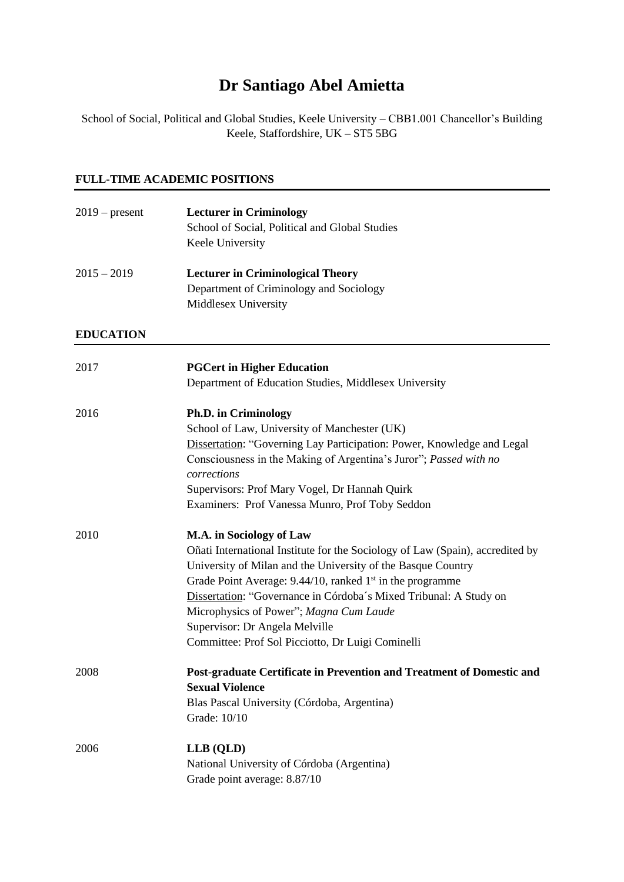# **Dr Santiago Abel Amietta**

School of Social, Political and Global Studies, Keele University – CBB1.001 Chancellor's Building Keele, Staffordshire, UK – ST5 5BG

# **FULL-TIME ACADEMIC POSITIONS**

| $2019$ – present | <b>Lecturer in Criminology</b><br>School of Social, Political and Global Studies<br>Keele University                                                                                                                                                                                                                                                                                                                                                             |
|------------------|------------------------------------------------------------------------------------------------------------------------------------------------------------------------------------------------------------------------------------------------------------------------------------------------------------------------------------------------------------------------------------------------------------------------------------------------------------------|
| $2015 - 2019$    | <b>Lecturer in Criminological Theory</b><br>Department of Criminology and Sociology<br>Middlesex University                                                                                                                                                                                                                                                                                                                                                      |
| <b>EDUCATION</b> |                                                                                                                                                                                                                                                                                                                                                                                                                                                                  |
| 2017             | <b>PGCert in Higher Education</b><br>Department of Education Studies, Middlesex University                                                                                                                                                                                                                                                                                                                                                                       |
| 2016             | <b>Ph.D. in Criminology</b><br>School of Law, University of Manchester (UK)<br>Dissertation: "Governing Lay Participation: Power, Knowledge and Legal<br>Consciousness in the Making of Argentina's Juror"; Passed with no<br>corrections<br>Supervisors: Prof Mary Vogel, Dr Hannah Quirk<br>Examiners: Prof Vanessa Munro, Prof Toby Seddon                                                                                                                    |
| 2010             | <b>M.A.</b> in Sociology of Law<br>Oñati International Institute for the Sociology of Law (Spain), accredited by<br>University of Milan and the University of the Basque Country<br>Grade Point Average: 9.44/10, ranked 1 <sup>st</sup> in the programme<br>Dissertation: "Governance in Córdoba's Mixed Tribunal: A Study on<br>Microphysics of Power"; Magna Cum Laude<br>Supervisor: Dr Angela Melville<br>Committee: Prof Sol Picciotto, Dr Luigi Cominelli |
| 2008             | Post-graduate Certificate in Prevention and Treatment of Domestic and<br><b>Sexual Violence</b><br>Blas Pascal University (Córdoba, Argentina)<br>Grade: 10/10                                                                                                                                                                                                                                                                                                   |
| 2006             | LLB (QLD)<br>National University of Córdoba (Argentina)<br>Grade point average: 8.87/10                                                                                                                                                                                                                                                                                                                                                                          |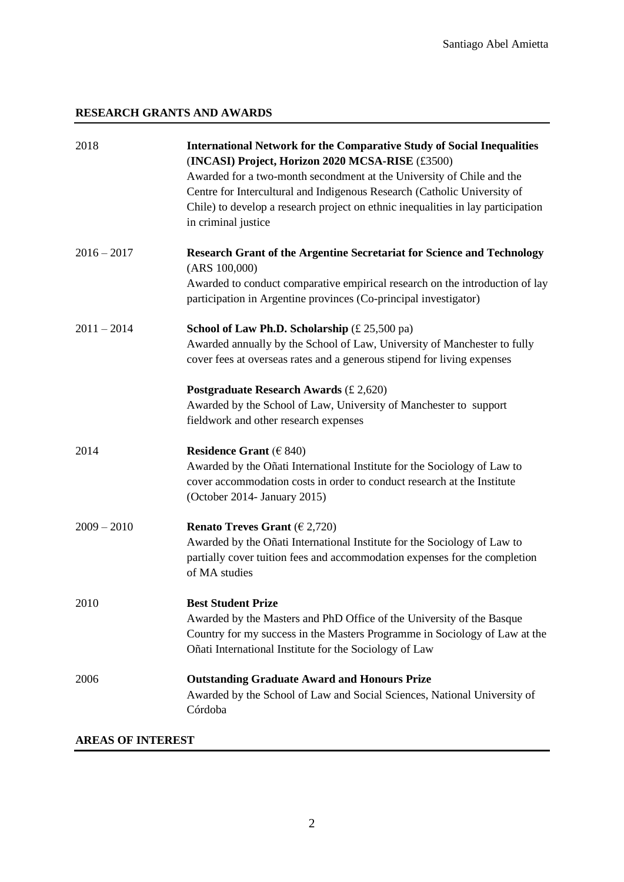## **RESEARCH GRANTS AND AWARDS**

| 2018          | <b>International Network for the Comparative Study of Social Inequalities</b><br>(INCASI) Project, Horizon 2020 MCSA-RISE (£3500)<br>Awarded for a two-month secondment at the University of Chile and the<br>Centre for Intercultural and Indigenous Research (Catholic University of<br>Chile) to develop a research project on ethnic inequalities in lay participation<br>in criminal justice |
|---------------|---------------------------------------------------------------------------------------------------------------------------------------------------------------------------------------------------------------------------------------------------------------------------------------------------------------------------------------------------------------------------------------------------|
| $2016 - 2017$ | <b>Research Grant of the Argentine Secretariat for Science and Technology</b><br>(ARS 100,000)<br>Awarded to conduct comparative empirical research on the introduction of lay<br>participation in Argentine provinces (Co-principal investigator)                                                                                                                                                |
| $2011 - 2014$ | School of Law Ph.D. Scholarship $(E 25,500 \text{ pa})$<br>Awarded annually by the School of Law, University of Manchester to fully<br>cover fees at overseas rates and a generous stipend for living expenses<br><b>Postgraduate Research Awards (£ 2,620)</b><br>Awarded by the School of Law, University of Manchester to support<br>fieldwork and other research expenses                     |
| 2014          | Residence Grant ( $\in$ 840)<br>Awarded by the Oñati International Institute for the Sociology of Law to<br>cover accommodation costs in order to conduct research at the Institute<br>(October 2014- January 2015)                                                                                                                                                                               |
| $2009 - 2010$ | Renato Treves Grant ( $\in$ 2,720)<br>Awarded by the Oñati International Institute for the Sociology of Law to<br>partially cover tuition fees and accommodation expenses for the completion<br>of MA studies                                                                                                                                                                                     |
| 2010          | <b>Best Student Prize</b><br>Awarded by the Masters and PhD Office of the University of the Basque<br>Country for my success in the Masters Programme in Sociology of Law at the<br>Oñati International Institute for the Sociology of Law                                                                                                                                                        |
| 2006          | <b>Outstanding Graduate Award and Honours Prize</b><br>Awarded by the School of Law and Social Sciences, National University of<br>Córdoba                                                                                                                                                                                                                                                        |

## **AREAS OF INTEREST**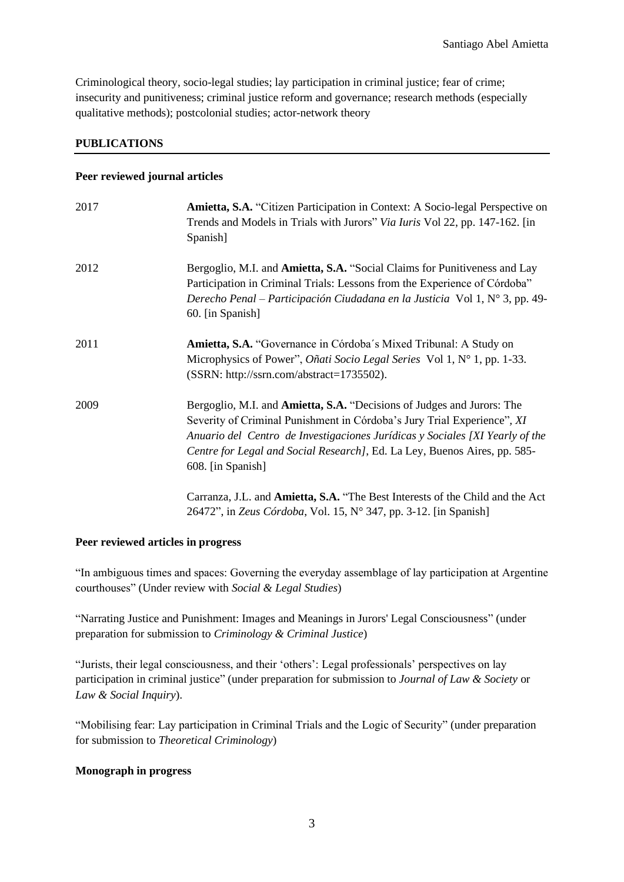Criminological theory, socio-legal studies; lay participation in criminal justice; fear of crime; insecurity and punitiveness; criminal justice reform and governance; research methods (especially qualitative methods); postcolonial studies; actor-network theory

### **PUBLICATIONS**

### **Peer reviewed journal articles**

| 2017 | Amietta, S.A. "Citizen Participation in Context: A Socio-legal Perspective on<br>Trends and Models in Trials with Jurors" Via Iuris Vol 22, pp. 147-162. [in<br>Spanish]                                                                                                                                                                   |
|------|--------------------------------------------------------------------------------------------------------------------------------------------------------------------------------------------------------------------------------------------------------------------------------------------------------------------------------------------|
| 2012 | Bergoglio, M.I. and <b>Amietta, S.A.</b> "Social Claims for Punitiveness and Lay<br>Participation in Criminal Trials: Lessons from the Experience of Córdoba"<br>Derecho Penal – Participación Ciudadana en la Justicia Vol 1, $N^{\circ}$ 3, pp. 49-<br>60. [in Spanish]                                                                  |
| 2011 | Amietta, S.A. "Governance in Córdoba's Mixed Tribunal: A Study on<br>Microphysics of Power", Oñati Socio Legal Series Vol 1, N° 1, pp. 1-33.<br>(SSRN: http://ssrn.com/abstract=1735502).                                                                                                                                                  |
| 2009 | Bergoglio, M.I. and <b>Amietta, S.A.</b> "Decisions of Judges and Jurors: The<br>Severity of Criminal Punishment in Córdoba's Jury Trial Experience", XI<br>Anuario del Centro de Investigaciones Jurídicas y Sociales [XI Yearly of the<br>Centre for Legal and Social Research], Ed. La Ley, Buenos Aires, pp. 585-<br>608. [in Spanish] |
|      | Carranza, J.L. and <b>Amietta, S.A.</b> "The Best Interests of the Child and the Act<br>26472", in Zeus Córdoba, Vol. 15, N° 347, pp. 3-12. [in Spanish]                                                                                                                                                                                   |

#### **Peer reviewed articles in progress**

"In ambiguous times and spaces: Governing the everyday assemblage of lay participation at Argentine courthouses" (Under review with *Social & Legal Studies*)

"Narrating Justice and Punishment: Images and Meanings in Jurors' Legal Consciousness" (under preparation for submission to *Criminology & Criminal Justice*)

"Jurists, their legal consciousness, and their 'others': Legal professionals' perspectives on lay participation in criminal justice" (under preparation for submission to *Journal of Law & Society* or *Law & Social Inquiry*).

"Mobilising fear: Lay participation in Criminal Trials and the Logic of Security" (under preparation for submission to *Theoretical Criminology*)

### **Monograph in progress**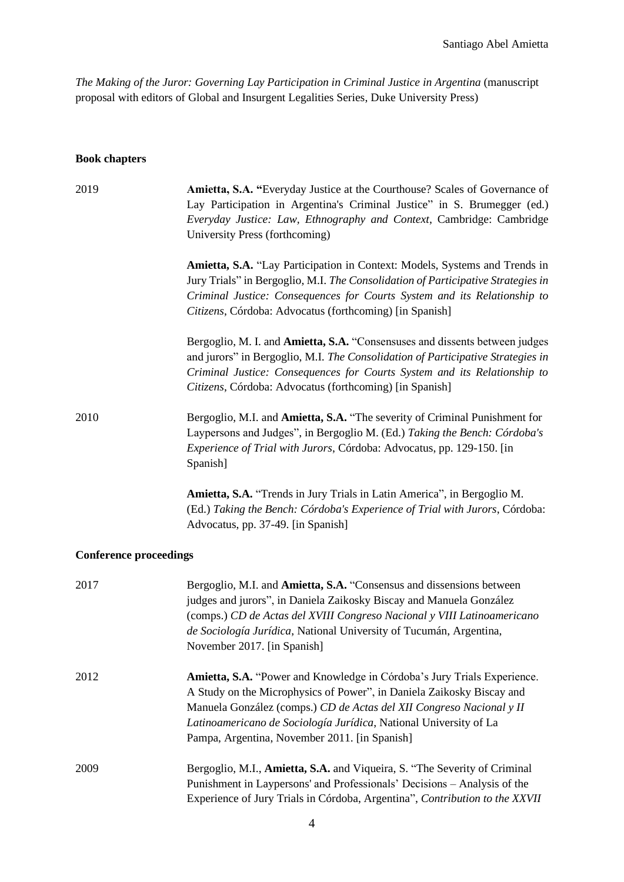*The Making of the Juror: Governing Lay Participation in Criminal Justice in Argentina* (manuscript proposal with editors of Global and Insurgent Legalities Series, Duke University Press)

### **Book chapters**

| 2019                          | Amietta, S.A. "Everyday Justice at the Courthouse? Scales of Governance of<br>Lay Participation in Argentina's Criminal Justice" in S. Brumegger (ed.)<br>Everyday Justice: Law, Ethnography and Context, Cambridge: Cambridge<br>University Press (forthcoming)                                                                               |
|-------------------------------|------------------------------------------------------------------------------------------------------------------------------------------------------------------------------------------------------------------------------------------------------------------------------------------------------------------------------------------------|
|                               | Amietta, S.A. "Lay Participation in Context: Models, Systems and Trends in<br>Jury Trials" in Bergoglio, M.I. The Consolidation of Participative Strategies in<br>Criminal Justice: Consequences for Courts System and its Relationship to<br>Citizens, Córdoba: Advocatus (forthcoming) [in Spanish]                                          |
|                               | Bergoglio, M. I. and Amietta, S.A. "Consensuses and dissents between judges<br>and jurors" in Bergoglio, M.I. The Consolidation of Participative Strategies in<br>Criminal Justice: Consequences for Courts System and its Relationship to<br>Citizens, Córdoba: Advocatus (forthcoming) [in Spanish]                                          |
| 2010                          | Bergoglio, M.I. and Amietta, S.A. "The severity of Criminal Punishment for<br>Laypersons and Judges", in Bergoglio M. (Ed.) Taking the Bench: Córdoba's<br>Experience of Trial with Jurors, Córdoba: Advocatus, pp. 129-150. [in<br>Spanish]                                                                                                   |
|                               | Amietta, S.A. "Trends in Jury Trials in Latin America", in Bergoglio M.<br>(Ed.) Taking the Bench: Córdoba's Experience of Trial with Jurors, Córdoba:<br>Advocatus, pp. 37-49. [in Spanish]                                                                                                                                                   |
| <b>Conference proceedings</b> |                                                                                                                                                                                                                                                                                                                                                |
| 2017                          | Bergoglio, M.I. and Amietta, S.A. "Consensus and dissensions between<br>judges and jurors", in Daniela Zaikosky Biscay and Manuela González<br>(comps.) CD de Actas del XVIII Congreso Nacional y VIII Latinoamericano<br>de Sociología Jurídica, National University of Tucumán, Argentina,<br>November 2017. [in Spanish]                    |
| 2012                          | Amietta, S.A. "Power and Knowledge in Córdoba's Jury Trials Experience.<br>A Study on the Microphysics of Power", in Daniela Zaikosky Biscay and<br>Manuela González (comps.) CD de Actas del XII Congreso Nacional y II<br>Latinoamericano de Sociología Jurídica, National University of La<br>Pampa, Argentina, November 2011. [in Spanish] |
| 2009                          | Bergoglio, M.I., Amietta, S.A. and Viqueira, S. "The Severity of Criminal<br>Punishment in Laypersons' and Professionals' Decisions - Analysis of the<br>Experience of Jury Trials in Córdoba, Argentina", Contribution to the XXVII                                                                                                           |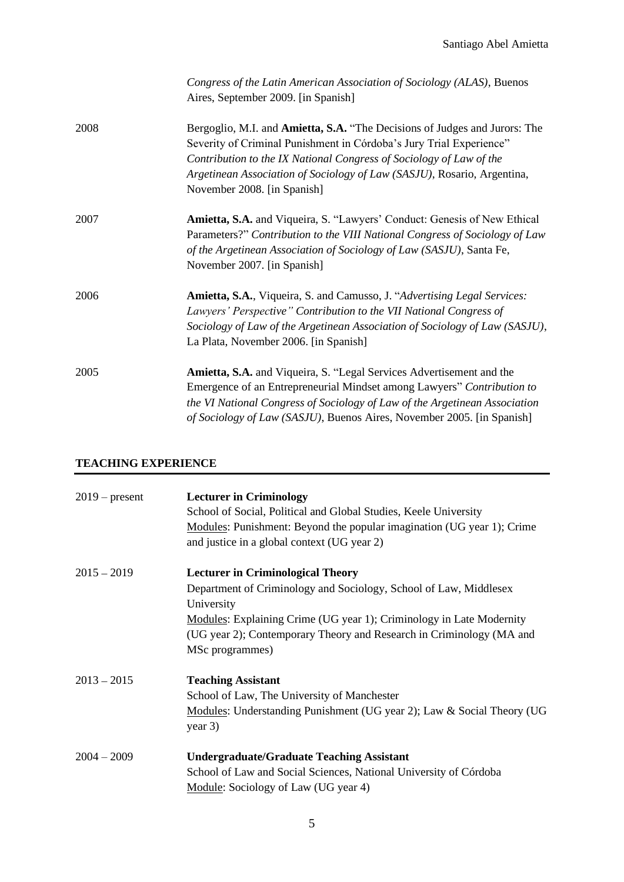|      | Congress of the Latin American Association of Sociology (ALAS), Buenos<br>Aires, September 2009. [in Spanish]                                                                                                                                                                                                                      |
|------|------------------------------------------------------------------------------------------------------------------------------------------------------------------------------------------------------------------------------------------------------------------------------------------------------------------------------------|
| 2008 | Bergoglio, M.I. and Amietta, S.A. "The Decisions of Judges and Jurors: The<br>Severity of Criminal Punishment in Córdoba's Jury Trial Experience"<br>Contribution to the IX National Congress of Sociology of Law of the<br>Argetinean Association of Sociology of Law (SASJU), Rosario, Argentina,<br>November 2008. [in Spanish] |
| 2007 | Amietta, S.A. and Viqueira, S. "Lawyers' Conduct: Genesis of New Ethical<br>Parameters?" Contribution to the VIII National Congress of Sociology of Law<br>of the Argetinean Association of Sociology of Law (SASJU), Santa Fe,<br>November 2007. [in Spanish]                                                                     |
| 2006 | Amietta, S.A., Viqueira, S. and Camusso, J. "Advertising Legal Services:<br>Lawyers' Perspective" Contribution to the VII National Congress of<br>Sociology of Law of the Argetinean Association of Sociology of Law (SASJU),<br>La Plata, November 2006. [in Spanish]                                                             |
| 2005 | Amietta, S.A. and Viqueira, S. "Legal Services Advertisement and the<br>Emergence of an Entrepreneurial Mindset among Lawyers" Contribution to<br>the VI National Congress of Sociology of Law of the Argetinean Association<br>of Sociology of Law (SASJU), Buenos Aires, November 2005. [in Spanish]                             |

### **TEACHING EXPERIENCE**

| $2019$ – present | <b>Lecturer in Criminology</b><br>School of Social, Political and Global Studies, Keele University<br>Modules: Punishment: Beyond the popular imagination (UG year 1); Crime<br>and justice in a global context (UG year 2) |
|------------------|-----------------------------------------------------------------------------------------------------------------------------------------------------------------------------------------------------------------------------|
| $2015 - 2019$    | <b>Lecturer in Criminological Theory</b>                                                                                                                                                                                    |
|                  | Department of Criminology and Sociology, School of Law, Middlesex<br>University                                                                                                                                             |
|                  | Modules: Explaining Crime (UG year 1); Criminology in Late Modernity                                                                                                                                                        |
|                  | (UG year 2); Contemporary Theory and Research in Criminology (MA and                                                                                                                                                        |
|                  | MSc programmes)                                                                                                                                                                                                             |
| $2013 - 2015$    | <b>Teaching Assistant</b>                                                                                                                                                                                                   |
|                  | School of Law, The University of Manchester                                                                                                                                                                                 |
|                  | Modules: Understanding Punishment (UG year 2); Law & Social Theory (UG                                                                                                                                                      |
|                  | year $3)$                                                                                                                                                                                                                   |
| $2004 - 2009$    | <b>Undergraduate/Graduate Teaching Assistant</b>                                                                                                                                                                            |
|                  | School of Law and Social Sciences, National University of Córdoba                                                                                                                                                           |
|                  | Module: Sociology of Law (UG year 4)                                                                                                                                                                                        |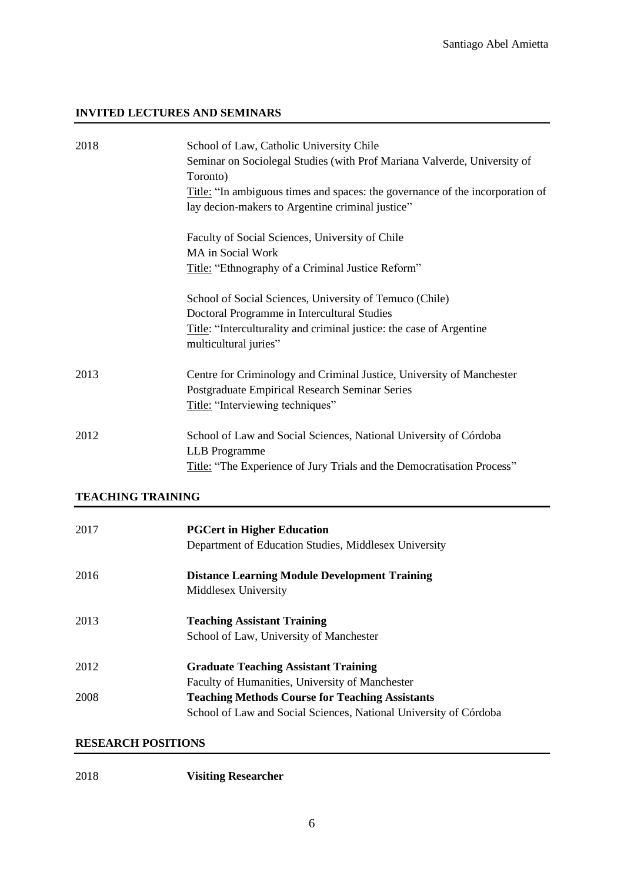### **INVITED LECTURES AND SEMINARS**

| 2018                     | School of Law, Catholic University Chile<br>Seminar on Sociolegal Studies (with Prof Mariana Valverde, University of<br>Toronto)<br>Title: "In ambiguous times and spaces: the governance of the incorporation of<br>lay decion-makers to Argentine criminal justice" |
|--------------------------|-----------------------------------------------------------------------------------------------------------------------------------------------------------------------------------------------------------------------------------------------------------------------|
|                          | Faculty of Social Sciences, University of Chile<br>MA in Social Work<br>Title: "Ethnography of a Criminal Justice Reform"                                                                                                                                             |
|                          | School of Social Sciences, University of Temuco (Chile)<br>Doctoral Programme in Intercultural Studies<br>Title: "Interculturality and criminal justice: the case of Argentine<br>multicultural juries"                                                               |
| 2013                     | Centre for Criminology and Criminal Justice, University of Manchester<br>Postgraduate Empirical Research Seminar Series<br>Title: "Interviewing techniques"                                                                                                           |
| 2012                     | School of Law and Social Sciences, National University of Córdoba<br><b>LLB</b> Programme<br>Title: "The Experience of Jury Trials and the Democratisation Process"                                                                                                   |
| <b>TEACHING TRAINING</b> |                                                                                                                                                                                                                                                                       |
| 2017                     | <b>PGCert in Higher Education</b><br>Department of Education Studies, Middlesex University                                                                                                                                                                            |
| 2016                     | <b>Distance Learning Module Development Training</b><br>Middlesex University                                                                                                                                                                                          |
| 2013                     | <b>Teaching Assistant Training</b>                                                                                                                                                                                                                                    |

- School of Law, University of Manchester
- 2012 **Graduate Teaching Assistant Training** Faculty of Humanities, University of Manchester 2008 **Teaching Methods Course for Teaching Assistants** School of Law and Social Sciences, National University of Córdoba

# **RESEARCH POSITIONS**

# 2018 **Visiting Researcher**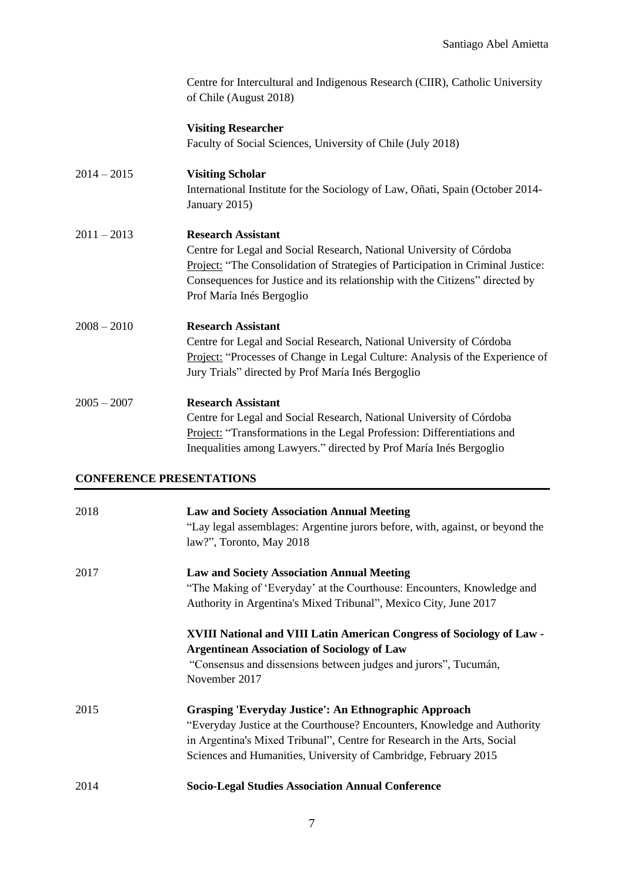Centre for Intercultural and Indigenous Research (CIIR), Catholic University of Chile (August 2018)

### **Visiting Researcher**

Faculty of Social Sciences, University of Chile (July 2018)

- 2014 2015 **Visiting Scholar** International Institute for the Sociology of Law, Oñati, Spain (October 2014- January 2015)
- 2011 2013 **Research Assistant** Centre for Legal and Social Research, National University of Córdoba Project: "The Consolidation of Strategies of Participation in Criminal Justice: Consequences for Justice and its relationship with the Citizens" directed by Prof María Inés Bergoglio
- 2008 2010 **Research Assistant** Centre for Legal and Social Research, National University of Córdoba Project: "Processes of Change in Legal Culture: Analysis of the Experience of Jury Trials" directed by Prof María Inés Bergoglio

# 2005 – 2007 **Research Assistant** Centre for Legal and Social Research, National University of Córdoba Project: "Transformations in the Legal Profession: Differentiations and Inequalities among Lawyers." directed by Prof María Inés Bergoglio

# **CONFERENCE PRESENTATIONS**

| 2018 | <b>Law and Society Association Annual Meeting</b><br>"Lay legal assemblages: Argentine jurors before, with, against, or beyond the<br>law?", Toronto, May 2018                                                                                                                  |
|------|---------------------------------------------------------------------------------------------------------------------------------------------------------------------------------------------------------------------------------------------------------------------------------|
| 2017 | <b>Law and Society Association Annual Meeting</b><br>"The Making of 'Everyday' at the Courthouse: Encounters, Knowledge and<br>Authority in Argentina's Mixed Tribunal", Mexico City, June 2017                                                                                 |
|      | XVIII National and VIII Latin American Congress of Sociology of Law -<br><b>Argentinean Association of Sociology of Law</b><br>"Consensus and dissensions between judges and jurors", Tucumán,<br>November 2017                                                                 |
| 2015 | Grasping 'Everyday Justice': An Ethnographic Approach<br>"Everyday Justice at the Courthouse? Encounters, Knowledge and Authority<br>in Argentina's Mixed Tribunal", Centre for Research in the Arts, Social<br>Sciences and Humanities, University of Cambridge, February 2015 |
| 2014 | <b>Socio-Legal Studies Association Annual Conference</b>                                                                                                                                                                                                                        |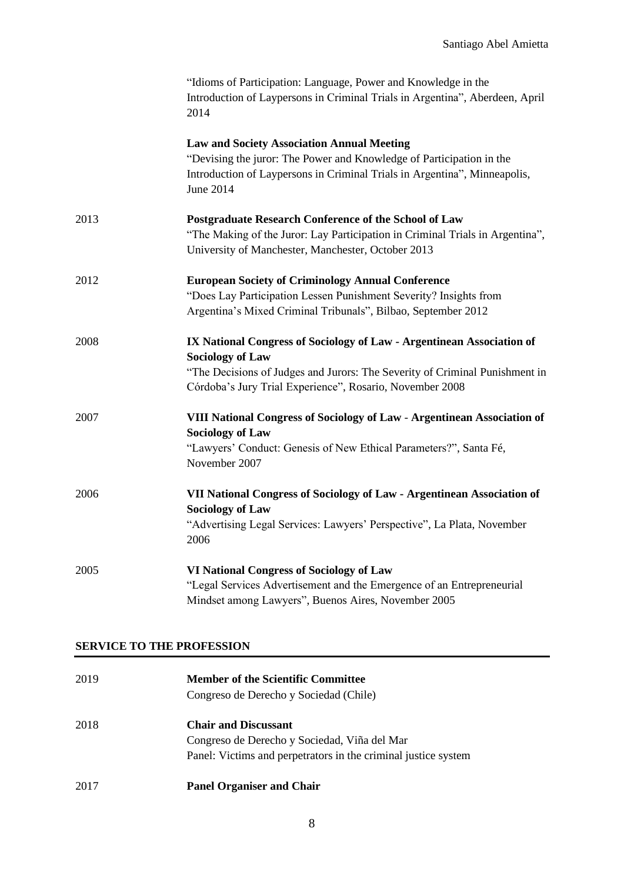|      | "Idioms of Participation: Language, Power and Knowledge in the<br>Introduction of Laypersons in Criminal Trials in Argentina", Aberdeen, April<br>2014                                                                                      |
|------|---------------------------------------------------------------------------------------------------------------------------------------------------------------------------------------------------------------------------------------------|
|      | <b>Law and Society Association Annual Meeting</b><br>"Devising the juror: The Power and Knowledge of Participation in the<br>Introduction of Laypersons in Criminal Trials in Argentina", Minneapolis,<br>June 2014                         |
| 2013 | Postgraduate Research Conference of the School of Law<br>"The Making of the Juror: Lay Participation in Criminal Trials in Argentina",<br>University of Manchester, Manchester, October 2013                                                |
| 2012 | <b>European Society of Criminology Annual Conference</b><br>"Does Lay Participation Lessen Punishment Severity? Insights from<br>Argentina's Mixed Criminal Tribunals", Bilbao, September 2012                                              |
| 2008 | IX National Congress of Sociology of Law - Argentinean Association of<br><b>Sociology of Law</b><br>"The Decisions of Judges and Jurors: The Severity of Criminal Punishment in<br>Córdoba's Jury Trial Experience", Rosario, November 2008 |
| 2007 | VIII National Congress of Sociology of Law - Argentinean Association of<br><b>Sociology of Law</b><br>"Lawyers' Conduct: Genesis of New Ethical Parameters?", Santa Fé,<br>November 2007                                                    |
| 2006 | VII National Congress of Sociology of Law - Argentinean Association of<br><b>Sociology of Law</b><br>"Advertising Legal Services: Lawyers' Perspective", La Plata, November<br>2006                                                         |
| 2005 | VI National Congress of Sociology of Law<br>"Legal Services Advertisement and the Emergence of an Entrepreneurial<br>Mindset among Lawyers", Buenos Aires, November 2005                                                                    |

### **SERVICE TO THE PROFESSION**

| 2019 | <b>Member of the Scientific Committee</b><br>Congreso de Derecho y Sociedad (Chile)                                                           |
|------|-----------------------------------------------------------------------------------------------------------------------------------------------|
| 2018 | <b>Chair and Discussant</b><br>Congreso de Derecho y Sociedad, Viña del Mar<br>Panel: Victims and perpetrators in the criminal justice system |
| 2017 | <b>Panel Organiser and Chair</b>                                                                                                              |